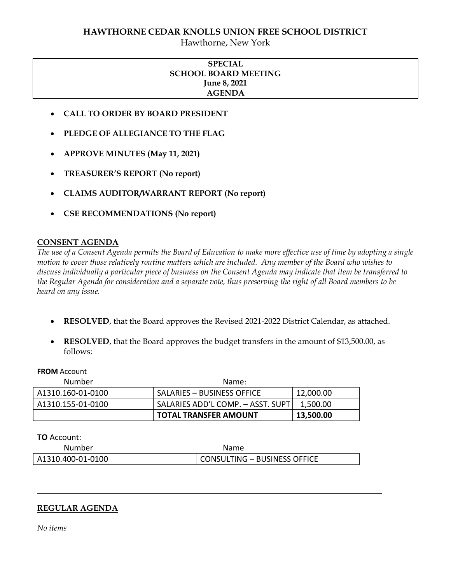## **HAWTHORNE CEDAR KNOLLS UNION FREE SCHOOL DISTRICT**

Hawthorne, New York

# **SPECIAL SCHOOL BOARD MEETING June 8, 2021 AGENDA**

- **CALL TO ORDER BY BOARD PRESIDENT**
- **PLEDGE OF ALLEGIANCE TO THE FLAG**
- **APPROVE MINUTES (May 11, 2021)**
- **TREASURER'S REPORT (No report)**
- **CLAIMS AUDITOR/WARRANT REPORT (No report)**
- **CSE RECOMMENDATIONS (No report)**

# **CONSENT AGENDA**

*The use of a Consent Agenda permits the Board of Education to make more effective use of time by adopting a single motion to cover those relatively routine matters which are included. Any member of the Board who wishes to discuss individually a particular piece of business on the Consent Agenda may indicate that item be transferred to the Regular Agenda for consideration and a separate vote, thus preserving the right of all Board members to be heard on any issue.* 

- **RESOLVED**, that the Board approves the Revised 2021-2022 District Calendar, as attached.
- **RESOLVED**, that the Board approves the budget transfers in the amount of \$13,500.00, as follows:

**FROM** Account

| Number            | Name:                             |           |
|-------------------|-----------------------------------|-----------|
| A1310.160-01-0100 | SALARIES – BUSINESS OFFICE        | 12,000.00 |
| A1310.155-01-0100 | SALARIES ADD'L COMP. - ASST. SUPT | 1.500.00  |
|                   | TOTAL TRANSFER AMOUNT             | 13,500.00 |

**TO** Account:

| Number            | Name                         |
|-------------------|------------------------------|
| A1310.400-01-0100 | CONSULTING - BUSINESS OFFICE |

## **REGULAR AGENDA**

*No items*